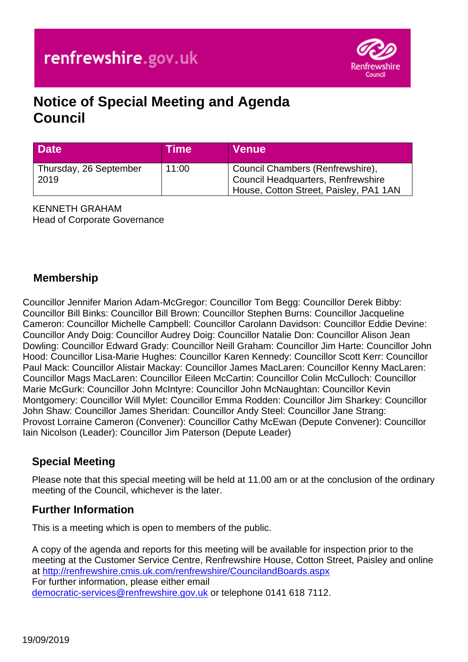

# **Notice of Special Meeting and Agenda Council**

| <b>Date</b>                    | <b>Time</b> | <b>Venue</b>                                                                                                     |
|--------------------------------|-------------|------------------------------------------------------------------------------------------------------------------|
| Thursday, 26 September<br>2019 | 11:00       | Gouncil Chambers (Renfrewshire),<br>Council Headquarters, Renfrewshire<br>House, Cotton Street, Paisley, PA1 1AN |

KENNETH GRAHAM Head of Corporate Governance

### **Membership**

Councillor Jennifer Marion Adam-McGregor: Councillor Tom Begg: Councillor Derek Bibby: Councillor Bill Binks: Councillor Bill Brown: Councillor Stephen Burns: Councillor Jacqueline Cameron: Councillor Michelle Campbell: Councillor Carolann Davidson: Councillor Eddie Devine: Councillor Andy Doig: Councillor Audrey Doig: Councillor Natalie Don: Councillor Alison Jean Dowling: Councillor Edward Grady: Councillor Neill Graham: Councillor Jim Harte: Councillor John Hood: Councillor Lisa-Marie Hughes: Councillor Karen Kennedy: Councillor Scott Kerr: Councillor Paul Mack: Councillor Alistair Mackay: Councillor James MacLaren: Councillor Kenny MacLaren: Councillor Mags MacLaren: Councillor Eileen McCartin: Councillor Colin McCulloch: Councillor Marie McGurk: Councillor John McIntyre: Councillor John McNaughtan: Councillor Kevin Montgomery: Councillor Will Mylet: Councillor Emma Rodden: Councillor Jim Sharkey: Councillor John Shaw: Councillor James Sheridan: Councillor Andy Steel: Councillor Jane Strang: Provost Lorraine Cameron (Convener): Councillor Cathy McEwan (Depute Convener): Councillor Iain Nicolson (Leader): Councillor Jim Paterson (Depute Leader)

#### **Special Meeting**

Please note that this special meeting will be held at 11.00 am or at the conclusion of the ordinary meeting of the Council, whichever is the later.

#### **Further Information**

This is a meeting which is open to members of the public.

A copy of the agenda and reports for this meeting will be available for inspection prior to the meeting at the Customer Service Centre, Renfrewshire House, Cotton Street, Paisley and online at <http://renfrewshire.cmis.uk.com/renfrewshire/CouncilandBoards.aspx> For further information, please either email [democratic-services@renfrewshire.gov.uk](mailto:democratic-services@renfrewshire.gov.uk) or telephone 0141 618 7112.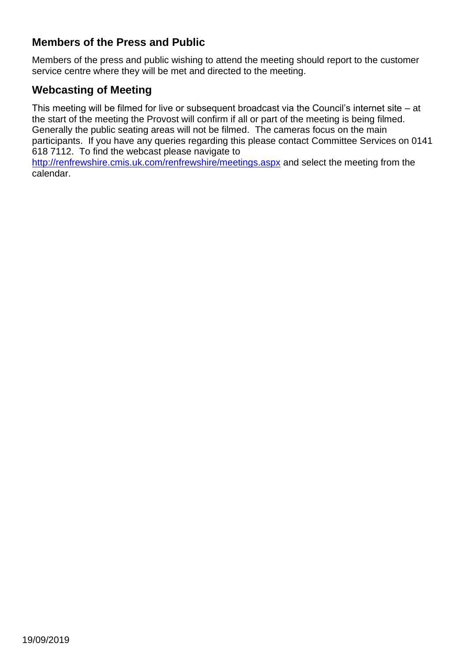### **Members of the Press and Public**

Members of the press and public wishing to attend the meeting should report to the customer service centre where they will be met and directed to the meeting.

## **Webcasting of Meeting**

This meeting will be filmed for live or subsequent broadcast via the Council's internet site – at the start of the meeting the Provost will confirm if all or part of the meeting is being filmed. Generally the public seating areas will not be filmed. The cameras focus on the main participants. If you have any queries regarding this please contact Committee Services on 0141 618 7112. To find the webcast please navigate to <http://renfrewshire.cmis.uk.com/renfrewshire/meetings.aspx> and select the meeting from the

calendar.